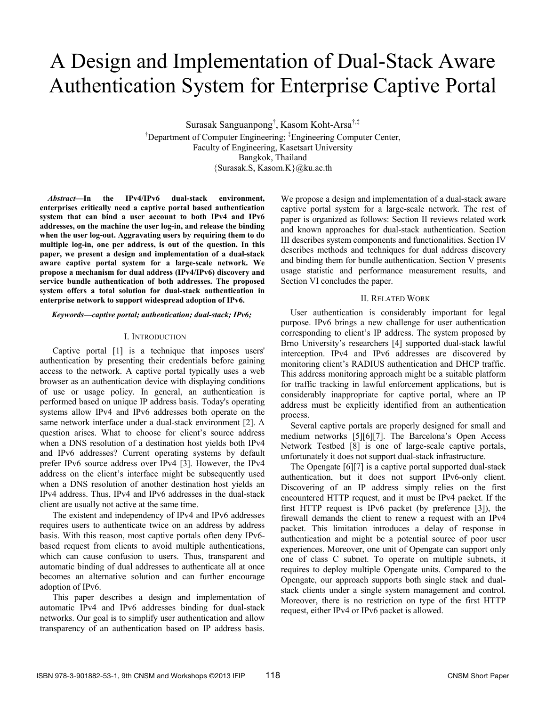# A Design and Implementation of Dual-Stack Aware Authentication System for Enterprise Captive Portal

Surasak Sanguanpong† , Kasom Koht-Arsa†,‡ <sup>†</sup>Department of Computer Engineering; <sup>‡</sup>Engineering Computer Center, Faculty of Engineering, Kasetsart University Bangkok, Thailand {Surasak.S, Kasom.K}@ku.ac.th

*Abstract***—In the IPv4/IPv6 dual-stack environment, enterprises critically need a captive portal based authentication system that can bind a user account to both IPv4 and IPv6 addresses, on the machine the user log-in, and release the binding when the user log-out. Aggravating users by requiring them to do multiple log-in, one per address, is out of the question. In this paper, we present a design and implementation of a dual-stack aware captive portal system for a large-scale network. We propose a mechanism for dual address (IPv4/IPv6) discovery and service bundle authentication of both addresses. The proposed system offers a total solution for dual-stack authentication in enterprise network to support widespread adoption of IPv6.** 

#### *Keywords***—***captive portal; authentication; dual-stack; IPv6;*

## I. INTRODUCTION

Captive portal [1] is a technique that imposes users' authentication by presenting their credentials before gaining access to the network. A captive portal typically uses a web browser as an authentication device with displaying conditions of use or usage policy. In general, an authentication is performed based on unique IP address basis. Today's operating systems allow IPv4 and IPv6 addresses both operate on the same network interface under a dual-stack environment [2]. A question arises. What to choose for client's source address when a DNS resolution of a destination host yields both IPv4 and IPv6 addresses? Current operating systems by default prefer IPv6 source address over IPv4 [3]. However, the IPv4 address on the client's interface might be subsequently used when a DNS resolution of another destination host yields an IPv4 address. Thus, IPv4 and IPv6 addresses in the dual-stack client are usually not active at the same time.

The existent and independency of IPv4 and IPv6 addresses requires users to authenticate twice on an address by address basis. With this reason, most captive portals often deny IPv6 based request from clients to avoid multiple authentications, which can cause confusion to users. Thus, transparent and automatic binding of dual addresses to authenticate all at once becomes an alternative solution and can further encourage adoption of IPv6.

This paper describes a design and implementation of automatic IPv4 and IPv6 addresses binding for dual-stack networks. Our goal is to simplify user authentication and allow transparency of an authentication based on IP address basis.

We propose a design and implementation of a dual-stack aware captive portal system for a large-scale network. The rest of paper is organized as follows: Section II reviews related work and known approaches for dual-stack authentication. Section III describes system components and functionalities. Section IV describes methods and techniques for dual address discovery and binding them for bundle authentication. Section V presents usage statistic and performance measurement results, and Section VI concludes the paper.

#### II. RELATED WORK

User authentication is considerably important for legal purpose. IPv6 brings a new challenge for user authentication corresponding to client's IP address. The system proposed by Brno University's researchers [4] supported dual-stack lawful interception. IPv4 and IPv6 addresses are discovered by monitoring client's RADIUS authentication and DHCP traffic. This address monitoring approach might be a suitable platform for traffic tracking in lawful enforcement applications, but is considerably inappropriate for captive portal, where an IP address must be explicitly identified from an authentication process.

Several captive portals are properly designed for small and medium networks [5][6][7]. The Barcelona's Open Access Network Testbed [8] is one of large-scale captive portals, unfortunately it does not support dual-stack infrastructure.

The Opengate [6][7] is a captive portal supported dual-stack authentication, but it does not support IPv6-only client. Discovering of an IP address simply relies on the first encountered HTTP request, and it must be IPv4 packet. If the first HTTP request is IPv6 packet (by preference [3]), the firewall demands the client to renew a request with an IPv4 packet. This limitation introduces a delay of response in authentication and might be a potential source of poor user experiences. Moreover, one unit of Opengate can support only one of class C subnet. To operate on multiple subnets, it requires to deploy multiple Opengate units. Compared to the Opengate, our approach supports both single stack and dualstack clients under a single system management and control. Moreover, there is no restriction on type of the first HTTP request, either IPv4 or IPv6 packet is allowed.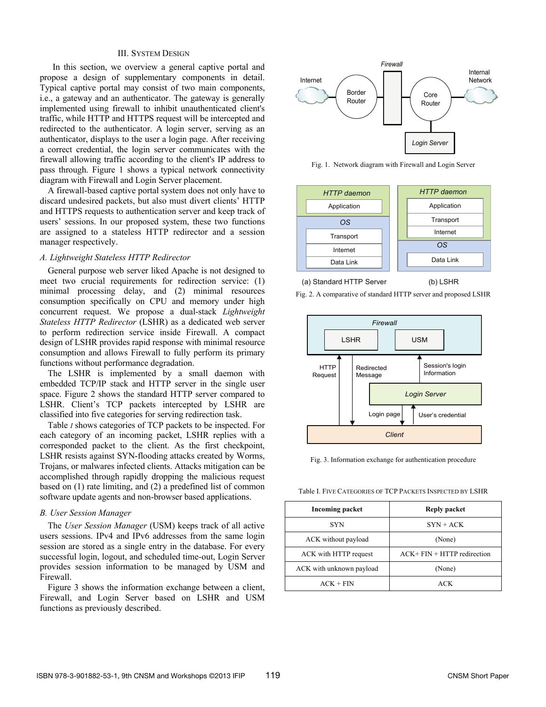## III. SYSTEM DESIGN

In this section, we overview a general captive portal and propose a design of supplementary components in detail. Typical captive portal may consist of two main components, i.e., a gateway and an authenticator. The gateway is generally implemented using firewall to inhibit unauthenticated client's traffic, while HTTP and HTTPS request will be intercepted and redirected to the authenticator. A login server, serving as an authenticator, displays to the user a login page. After receiving a correct credential, the login server communicates with the firewall allowing traffic according to the client's IP address to pass through. Figure 1 shows a typical network connectivity diagram with Firewall and Login Server placement.

A firewall-based captive portal system does not only have to discard undesired packets, but also must divert clients' HTTP and HTTPS requests to authentication server and keep track of users' sessions. In our proposed system, these two functions are assigned to a stateless HTTP redirector and a session manager respectively.

# *A. Lightweight Stateless HTTP Redirector*

General purpose web server liked Apache is not designed to meet two crucial requirements for redirection service: (1) minimal processing delay, and (2) minimal resources consumption specifically on CPU and memory under high concurrent request. We propose a dual-stack *Lightweight Stateless HTTP Redirector* (LSHR) as a dedicated web server to perform redirection service inside Firewall. A compact design of LSHR provides rapid response with minimal resource consumption and allows Firewall to fully perform its primary functions without performance degradation.

The LSHR is implemented by a small daemon with embedded TCP/IP stack and HTTP server in the single user space. Figure 2 shows the standard HTTP server compared to LSHR. Client's TCP packets intercepted by LSHR are classified into five categories for serving redirection task.

Table *I* shows categories of TCP packets to be inspected. For each category of an incoming packet, LSHR replies with a corresponded packet to the client. As the first checkpoint, LSHR resists against SYN-flooding attacks created by Worms, Trojans, or malwares infected clients. Attacks mitigation can be accomplished through rapidly dropping the malicious request based on (1) rate limiting, and (2) a predefined list of common software update agents and non-browser based applications.

#### *B. User Session Manager*

The *User Session Manager* (USM) keeps track of all active users sessions. IPv4 and IPv6 addresses from the same login session are stored as a single entry in the database. For every successful login, logout, and scheduled time-out, Login Server provides session information to be managed by USM and Firewall.

Figure 3 shows the information exchange between a client, Firewall, and Login Server based on LSHR and USM functions as previously described.



Fig. 1. Network diagram with Firewall and Login Server



Fig. 2. A comparative of standard HTTP server and proposed LSHR

#### (a) Standard HTTP Server

(b) LSHR



Fig. 3. Information exchange for authentication procedure

Table I. FIVE CATEGORIES OF TCP PACKETS INSPECTED BY LSHR

| <b>Incoming packet</b>   | Reply packet                  |
|--------------------------|-------------------------------|
| <b>SYN</b>               | $SYN + ACK$                   |
| ACK without payload      | (None)                        |
| ACK with HTTP request    | $ACK+ FIN + HTTP$ redirection |
| ACK with unknown payload | (None)                        |
| $ACK + FIN$              | ACK                           |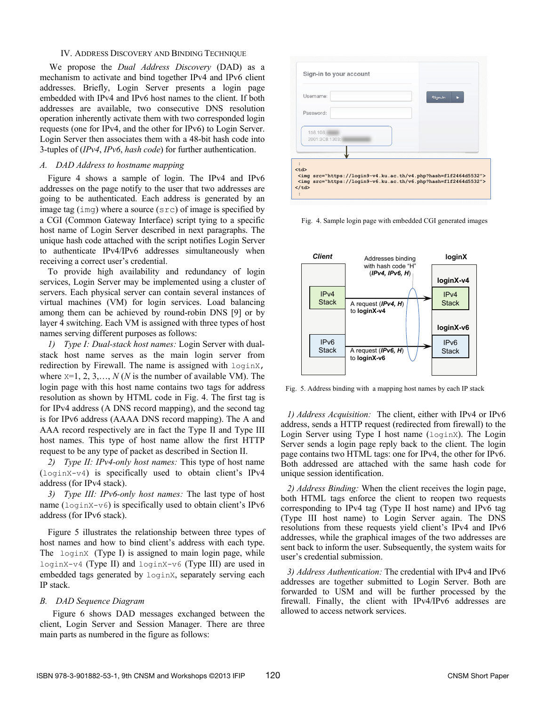### IV. ADDRESS DISCOVERY AND BINDING TECHNIQUE

We propose the *Dual Address Discovery* (DAD) as a mechanism to activate and bind together IPv4 and IPv6 client addresses. Briefly, Login Server presents a login page embedded with IPv4 and IPv6 host names to the client. If both addresses are available, two consecutive DNS resolution operation inherently activate them with two corresponded login requests (one for IPv4, and the other for IPv6) to Login Server. Login Server then associates them with a 48-bit hash code into 3-tuples of (*IPv4*, *IPv6*, *hash code*) for further authentication.

# *A. DAD Address to hostname mapping*

Figure 4 shows a sample of login. The IPv4 and IPv6 addresses on the page notify to the user that two addresses are going to be authenticated. Each address is generated by an image tag (img) where a source (src) of image is specified by a CGI (Common Gateway Interface) script tying to a specific host name of Login Server described in next paragraphs. The unique hash code attached with the script notifies Login Server to authenticate IPv4/IPv6 addresses simultaneously when receiving a correct user's credential.

To provide high availability and redundancy of login services, Login Server may be implemented using a cluster of servers. Each physical server can contain several instances of virtual machines (VM) for login services. Load balancing among them can be achieved by round-robin DNS [9] or by layer 4 switching. Each VM is assigned with three types of host names serving different purposes as follows:

*1) Type I: Dual-stack host names:* Login Server with dualstack host name serves as the main login server from redirection by Firewall. The name is assigned with  $loginX$ , where  $x=1, 2, 3, \ldots, N(N)$  is the number of available VM). The login page with this host name contains two tags for address resolution as shown by HTML code in Fig. 4. The first tag is for IPv4 address (A DNS record mapping), and the second tag is for IPv6 address (AAAA DNS record mapping). The A and AAA record respectively are in fact the Type II and Type III host names. This type of host name allow the first HTTP request to be any type of packet as described in Section II.

*2) Type II: IPv4-only host names:* This type of host name (loginX-v4) is specifically used to obtain client's IPv4 address (for IPv4 stack).

*3) Type III: IPv6-only host names:* The last type of host name  $($ login $X-y6)$  is specifically used to obtain client's IPv6 address (for IPv6 stack).

Figure 5 illustrates the relationship between three types of host names and how to bind client's address with each type. The loginX (Type I) is assigned to main login page, while loginX-v4 (Type II) and loginX-v6 (Type III) are used in embedded tags generated by loginX, separately serving each IP stack.

# *B. DAD Sequence Diagram*

Figure 6 shows DAD messages exchanged between the client, Login Server and Session Manager. There are three main parts as numbered in the figure as follows:



Fig. 4. Sample login page with embedded CGI generated images



Fig. 5. Address binding with a mapping host names by each IP stack

*1) Address Acquisition:* The client, either with IPv4 or IPv6 address, sends a HTTP request (redirected from firewall) to the Login Server using Type I host name (loginX). The Login Server sends a login page reply back to the client. The login page contains two HTML tags: one for IPv4, the other for IPv6. Both addressed are attached with the same hash code for unique session identification.

*2) Address Binding:* When the client receives the login page, both HTML tags enforce the client to reopen two requests corresponding to IPv4 tag (Type II host name) and IPv6 tag (Type III host name) to Login Server again. The DNS resolutions from these requests yield client's IPv4 and IPv6 addresses, while the graphical images of the two addresses are sent back to inform the user. Subsequently, the system waits for user's credential submission.

*3) Address Authentication:* The credential with IPv4 and IPv6 addresses are together submitted to Login Server. Both are forwarded to USM and will be further processed by the firewall. Finally, the client with IPv4/IPv6 addresses are allowed to access network services.